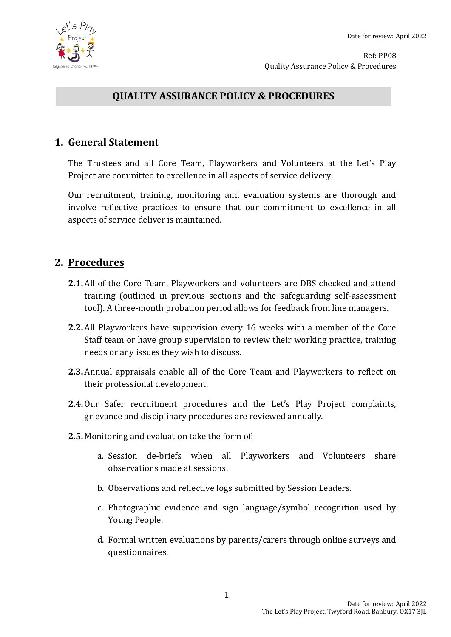



Ref: PP08 Quality Assurance Policy & Procedures

# **QUALITY ASSURANCE POLICY & PROCEDURES**

## **1. General Statement**

The Trustees and all Core Team, Playworkers and Volunteers at the Let's Play Project are committed to excellence in all aspects of service delivery.

Our recruitment, training, monitoring and evaluation systems are thorough and involve reflective practices to ensure that our commitment to excellence in all aspects of service deliver is maintained.

### **2. Procedures**

- **2.1.** All of the Core Team, Playworkers and volunteers are DBS checked and attend training (outlined in previous sections and the safeguarding self-assessment tool). A three-month probation period allows for feedback from line managers.
- **2.2.** All Playworkers have supervision every 16 weeks with a member of the Core Staff team or have group supervision to review their working practice, training needs or any issues they wish to discuss.
- **2.3.** Annual appraisals enable all of the Core Team and Playworkers to reflect on their professional development.
- **2.4.**Our Safer recruitment procedures and the Let's Play Project complaints, grievance and disciplinary procedures are reviewed annually.
- **2.5.** Monitoring and evaluation take the form of:
	- a. Session de-briefs when all Playworkers and Volunteers share observations made at sessions.
	- b. Observations and reflective logs submitted by Session Leaders.
	- c. Photographic evidence and sign language/symbol recognition used by Young People.
	- d. Formal written evaluations by parents/carers through online surveys and questionnaires.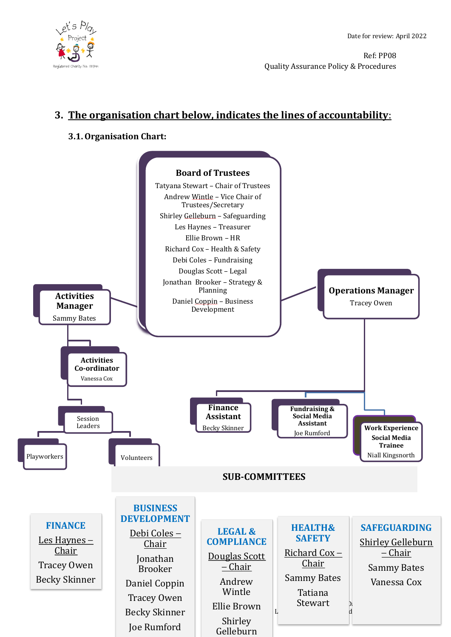

Ref: PP08 Quality Assurance Policy & Procedures

# **3. The organisation chart below, indicates the lines of accountability**:

#### **3.1.Organisation Chart:**